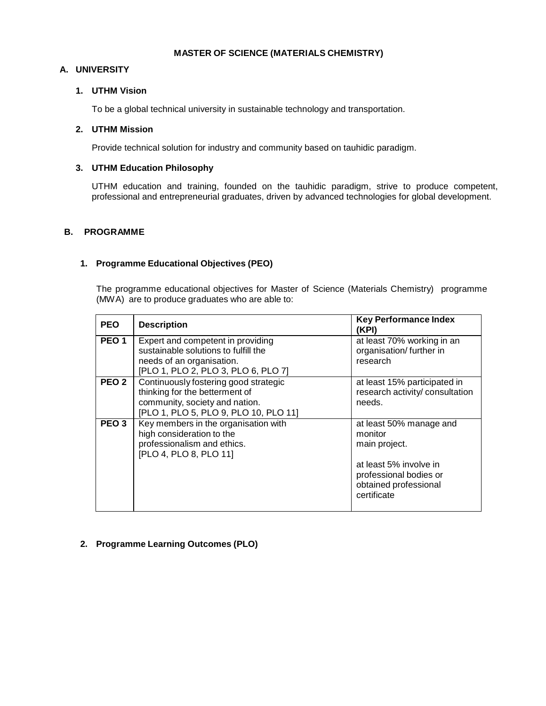#### **MASTER OF SCIENCE (MATERIALS CHEMISTRY)**

## **A. UNIVERSITY**

## **1. UTHM Vision**

To be a global technical university in sustainable technology and transportation.

## **2. UTHM Mission**

Provide technical solution for industry and community based on tauhidic paradigm.

# **3. UTHM Education Philosophy**

UTHM education and training, founded on the tauhidic paradigm, strive to produce competent, professional and entrepreneurial graduates, driven by advanced technologies for global development.

### **B. PROGRAMME**

### **1. Programme Educational Objectives (PEO)**

The programme educational objectives for Master of Science (Materials Chemistry) programme (MWA) are to produce graduates who are able to:

| <b>PEO</b>       | <b>Description</b>                                                                                                                                 | <b>Key Performance Index</b><br>(KPI)                                                                                                           |
|------------------|----------------------------------------------------------------------------------------------------------------------------------------------------|-------------------------------------------------------------------------------------------------------------------------------------------------|
| PEO <sub>1</sub> | Expert and competent in providing<br>sustainable solutions to fulfill the                                                                          | at least 70% working in an<br>organisation/ further in                                                                                          |
|                  | needs of an organisation.<br>[PLO 1, PLO 2, PLO 3, PLO 6, PLO 7]                                                                                   | research                                                                                                                                        |
| PEO <sub>2</sub> | Continuously fostering good strategic<br>thinking for the betterment of<br>community, society and nation.<br>[PLO 1, PLO 5, PLO 9, PLO 10, PLO 11] | at least 15% participated in<br>research activity/ consultation<br>needs.                                                                       |
| PEO 3            | Key members in the organisation with<br>high consideration to the<br>professionalism and ethics.<br>[PLO 4, PLO 8, PLO 11]                         | at least 50% manage and<br>monitor<br>main project.<br>at least 5% involve in<br>professional bodies or<br>obtained professional<br>certificate |

# **2. Programme Learning Outcomes (PLO)**